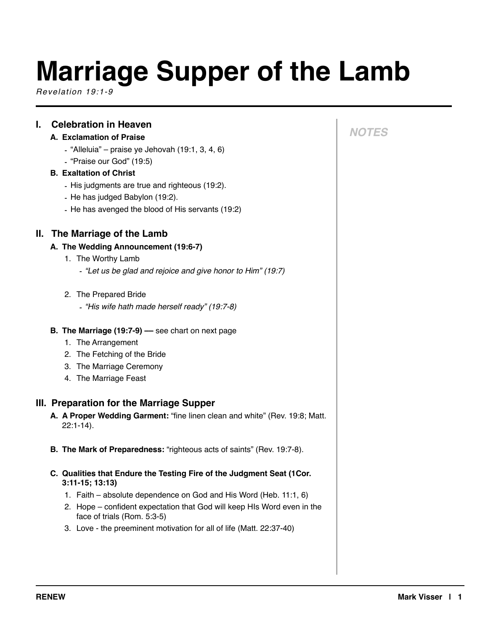# **Marriage Supper of the Lamb**

*Revelation 19:1-9*

# **I. Celebration in Heaven**

## **A. Exclamation of Praise**

- $-$  "Alleluia" praise ye Jehovah (19:1, 3, 4, 6)
- "Praise our God" (19:5)

## **B. Exaltation of Christ**

- His judgments are true and righteous (19:2).
- He has judged Babylon (19:2).
- He has avenged the blood of His servants (19:2)

# **II. The Marriage of the Lamb**

#### **A. The Wedding Announcement (19:6-7)**

- 1. The Worthy Lamb
	- *- "Let us be glad and rejoice and give honor to Him" (19:7)*
- 2. The Prepared Bride
	- *- "His wife hath made herself ready" (19:7-8)*
- **B. The Marriage (19:7-9) ––** see chart on next page
	- 1. The Arrangement
	- 2. The Fetching of the Bride
	- 3. The Marriage Ceremony
	- 4. The Marriage Feast

## **III. Preparation for the Marriage Supper**

- **A. A Proper Wedding Garment:** "fine linen clean and white" (Rev. 19:8; Matt. 22:1-14).
- **B. The Mark of Preparedness:** "righteous acts of saints" (Rev. 19:7-8).
- **C. Qualities that Endure the Testing Fire of the Judgment Seat (1Cor. 3:11-15; 13:13)** 
	- 1. Faith absolute dependence on God and His Word (Heb. 11:1, 6)
	- 2. Hope confident expectation that God will keep HIs Word even in the face of trials (Rom. 5:3-5)
	- 3. Love the preeminent motivation for all of life (Matt. 22:37-40)

# *NOTES*